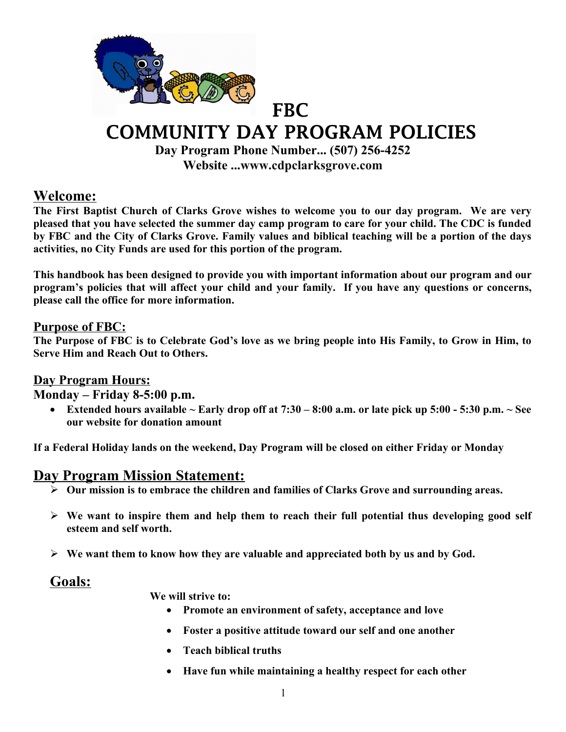

# COMMUNITY DAY PROGRAM POLICIES

**Day Program Phone Number... (507) 256-4252 Website ..[.www.cdpclarksgrove.com](http://www.cdpclarksgrove.com/)**

### **Welcome:**

**The First Baptist Church of Clarks Grove wishes to welcome you to our day program. We are very pleased that you have selected the summer day camp program to care for your child. The CDC is funded by FBC and the City of Clarks Grove. Family values and biblical teaching will be a portion of the days activities, no City Funds are used for this portion of the program.**

**This handbook has been designed to provide you with important information about our program and our program's policies that will affect your child and your family. If you have any questions or concerns, please call the office for more information.**

#### **Purpose of FBC:**

**The Purpose of FBC is to Celebrate God's love as we bring people into His Family, to Grow in Him, to Serve Him and Reach Out to Others.**

#### **Day Program Hours:**

**Monday – Friday 8-5:00 p.m.**

 **Extended hours available ~ Early drop off at 7:30 – 8:00 a.m. or late pick up 5:00 - 5:30 p.m. ~ See our website for donation amount**

**If a Federal Holiday lands on the weekend, Day Program will be closed on either Friday or Monday**

### **Day Program Mission Statement:**

- **Our mission is to embrace the children and families of Clarks Grove and surrounding areas.**
- **We want to inspire them and help them to reach their full potential thus developing good self esteem and self worth.**
- **We want them to know how they are valuable and appreciated both by us and by God.**

### **Goals:**

**We will strive to:**

- **Promote an environment of safety, acceptance and love**
- **Foster a positive attitude toward our self and one another**
- **Teach biblical truths**
- **Have fun while maintaining a healthy respect for each other**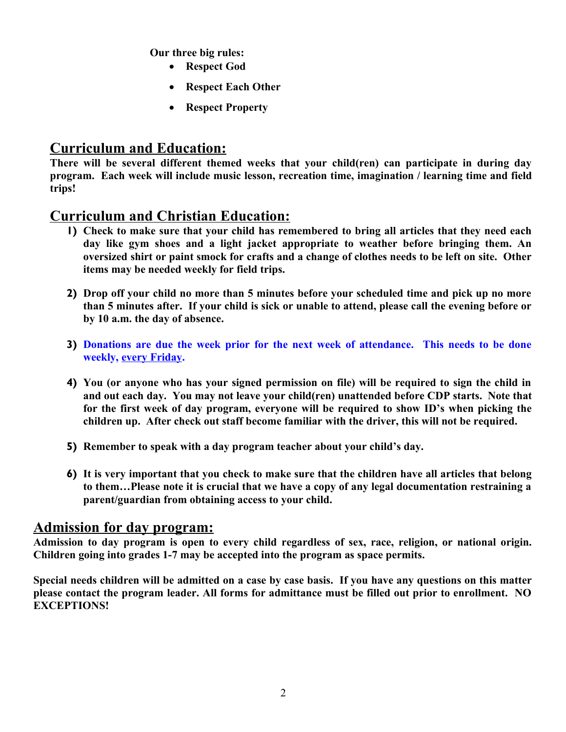**Our three big rules:**

- **Respect God**
- **Respect Each Other**
- **Respect Property**

# **Curriculum and Education:**

**There will be several different themed weeks that your child(ren) can participate in during day program. Each week will include music lesson, recreation time, imagination / learning time and field trips!** 

# **Curriculum and Christian Education:**

- **1) Check to make sure that your child has remembered to bring all articles that they need each day like gym shoes and a light jacket appropriate to weather before bringing them. An oversized shirt or paint smock for crafts and a change of clothes needs to be left on site. Other items may be needed weekly for field trips.**
- **2) Drop off your child no more than 5 minutes before your scheduled time and pick up no more than 5 minutes after. If your child is sick or unable to attend, please call the evening before or by 10 a.m. the day of absence.**
- **3) Donations are due the week prior for the next week of attendance. This needs to be done weekly, every Friday.**
- **4) You (or anyone who has your signed permission on file) will be required to sign the child in and out each day. You may not leave your child(ren) unattended before CDP starts. Note that for the first week of day program, everyone will be required to show ID's when picking the children up. After check out staff become familiar with the driver, this will not be required.**
- **5) Remember to speak with a day program teacher about your child's day.**
- **6) It is very important that you check to make sure that the children have all articles that belong to them…Please note it is crucial that we have a copy of any legal documentation restraining a parent/guardian from obtaining access to your child.**

### **Admission for day program:**

**Admission to day program is open to every child regardless of sex, race, religion, or national origin. Children going into grades 1-7 may be accepted into the program as space permits.** 

**Special needs children will be admitted on a case by case basis. If you have any questions on this matter please contact the program leader. All forms for admittance must be filled out prior to enrollment. NO EXCEPTIONS!**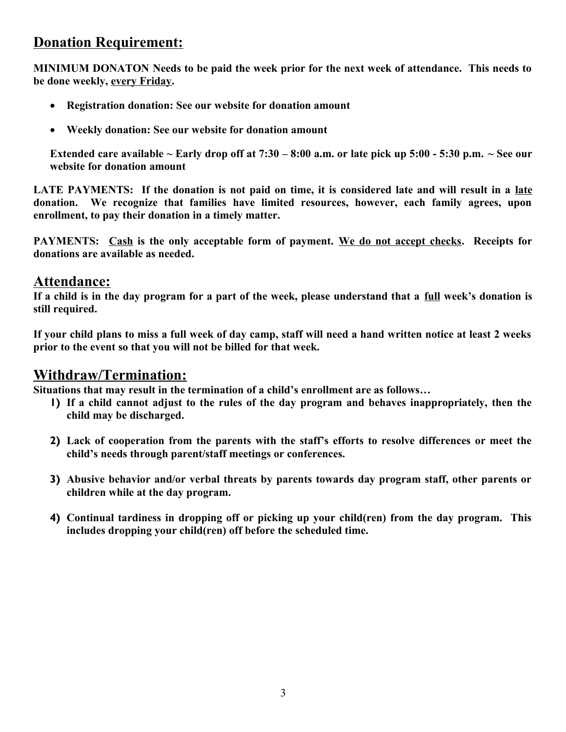# **Donation Requirement:**

**MINIMUM DONATON Needs to be paid the week prior for the next week of attendance. This needs to be done weekly, every Friday.**

- **Registration donation: See our website for donation amount**
- **Weekly donation: See our website for donation amount**

**Extended care available ~ Early drop off at 7:30 – 8:00 a.m. or late pick up 5:00 - 5:30 p.m. ~ See our website for donation amount**

**LATE PAYMENTS: If the donation is not paid on time, it is considered late and will result in a late donation. We recognize that families have limited resources, however, each family agrees, upon enrollment, to pay their donation in a timely matter.**

**PAYMENTS: Cash is the only acceptable form of payment. We do not accept checks. Receipts for donations are available as needed.**

# **Attendance:**

**If a child is in the day program for a part of the week, please understand that a full week's donation is still required.**

**If your child plans to miss a full week of day camp, staff will need a hand written notice at least 2 weeks prior to the event so that you will not be billed for that week.**

# **Withdraw/Termination:**

**Situations that may result in the termination of a child's enrollment are as follows…**

- **1) If a child cannot adjust to the rules of the day program and behaves inappropriately, then the child may be discharged.**
- **2) Lack of cooperation from the parents with the staff's efforts to resolve differences or meet the child's needs through parent/staff meetings or conferences.**
- **3) Abusive behavior and/or verbal threats by parents towards day program staff, other parents or children while at the day program.**
- **4) Continual tardiness in dropping off or picking up your child(ren) from the day program. This includes dropping your child(ren) off before the scheduled time.**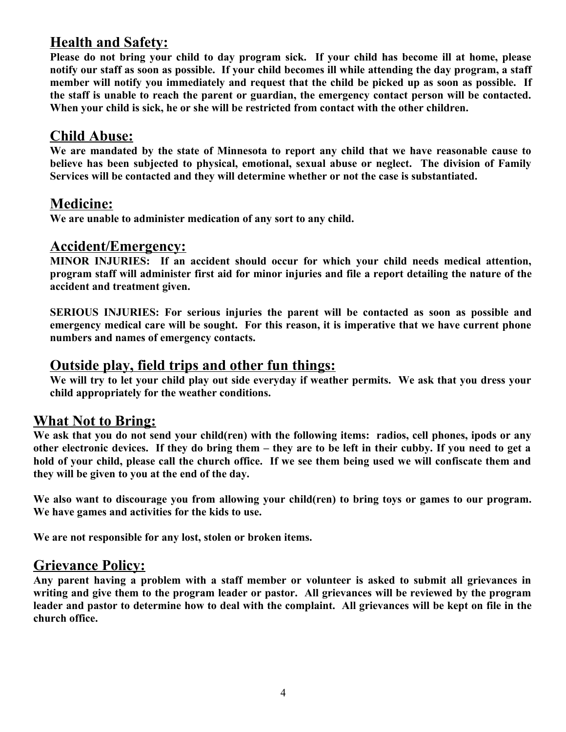# **Health and Safety:**

**Please do not bring your child to day program sick. If your child has become ill at home, please notify our staff as soon as possible. If your child becomes ill while attending the day program, a staff member will notify you immediately and request that the child be picked up as soon as possible. If the staff is unable to reach the parent or guardian, the emergency contact person will be contacted. When your child is sick, he or she will be restricted from contact with the other children.**

# **Child Abuse:**

**We are mandated by the state of Minnesota to report any child that we have reasonable cause to believe has been subjected to physical, emotional, sexual abuse or neglect. The division of Family Services will be contacted and they will determine whether or not the case is substantiated.**

# **Medicine:**

**We are unable to administer medication of any sort to any child.**

### **Accident/Emergency:**

**MINOR INJURIES: If an accident should occur for which your child needs medical attention, program staff will administer first aid for minor injuries and file a report detailing the nature of the accident and treatment given.**

**SERIOUS INJURIES: For serious injuries the parent will be contacted as soon as possible and emergency medical care will be sought. For this reason, it is imperative that we have current phone numbers and names of emergency contacts.**

#### **Outside play, field trips and other fun things:**

**We will try to let your child play out side everyday if weather permits. We ask that you dress your child appropriately for the weather conditions.** 

# **What Not to Bring:**

**We ask that you do not send your child(ren) with the following items: radios, cell phones, ipods or any other electronic devices. If they do bring them – they are to be left in their cubby. If you need to get a hold of your child, please call the church office. If we see them being used we will confiscate them and they will be given to you at the end of the day.**

**We also want to discourage you from allowing your child(ren) to bring toys or games to our program. We have games and activities for the kids to use.**

**We are not responsible for any lost, stolen or broken items.** 

# **Grievance Policy:**

**Any parent having a problem with a staff member or volunteer is asked to submit all grievances in writing and give them to the program leader or pastor. All grievances will be reviewed by the program leader and pastor to determine how to deal with the complaint. All grievances will be kept on file in the church office.**